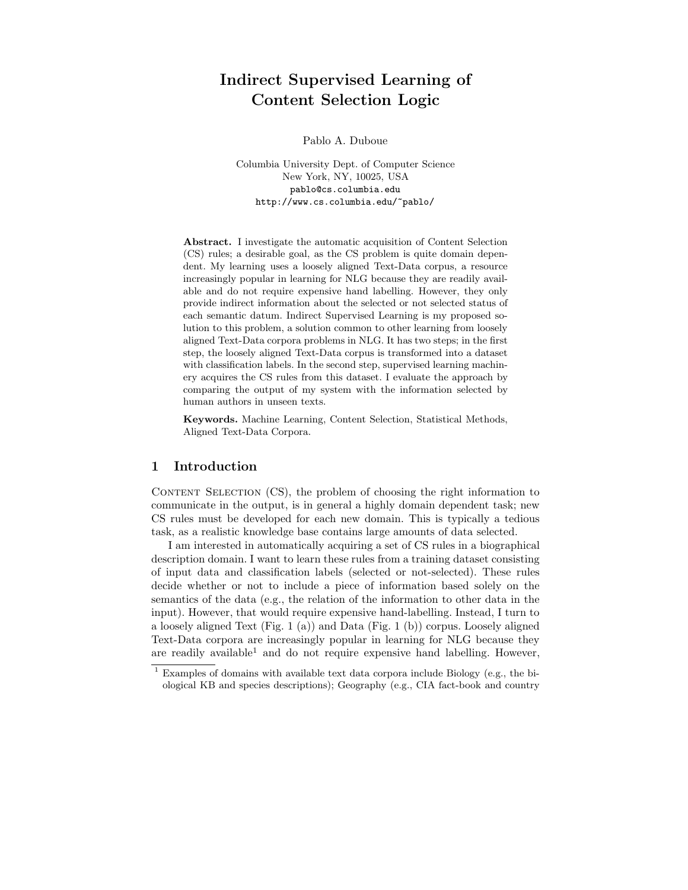# Indirect Supervised Learning of Content Selection Logic

Pablo A. Duboue

Columbia University Dept. of Computer Science New York, NY, 10025, USA pablo@cs.columbia.edu http://www.cs.columbia.edu/~pablo/

Abstract. I investigate the automatic acquisition of Content Selection (CS) rules; a desirable goal, as the CS problem is quite domain dependent. My learning uses a loosely aligned Text-Data corpus, a resource increasingly popular in learning for NLG because they are readily available and do not require expensive hand labelling. However, they only provide indirect information about the selected or not selected status of each semantic datum. Indirect Supervised Learning is my proposed solution to this problem, a solution common to other learning from loosely aligned Text-Data corpora problems in NLG. It has two steps; in the first step, the loosely aligned Text-Data corpus is transformed into a dataset with classification labels. In the second step, supervised learning machinery acquires the CS rules from this dataset. I evaluate the approach by comparing the output of my system with the information selected by human authors in unseen texts.

Keywords. Machine Learning, Content Selection, Statistical Methods, Aligned Text-Data Corpora.

#### 1 Introduction

CONTENT SELECTION (CS), the problem of choosing the right information to communicate in the output, is in general a highly domain dependent task; new CS rules must be developed for each new domain. This is typically a tedious task, as a realistic knowledge base contains large amounts of data selected.

I am interested in automatically acquiring a set of CS rules in a biographical description domain. I want to learn these rules from a training dataset consisting of input data and classification labels (selected or not-selected). These rules decide whether or not to include a piece of information based solely on the semantics of the data (e.g., the relation of the information to other data in the input). However, that would require expensive hand-labelling. Instead, I turn to a loosely aligned Text (Fig. 1 (a)) and Data (Fig. 1 (b)) corpus. Loosely aligned Text-Data corpora are increasingly popular in learning for NLG because they are readily available<sup>1</sup> and do not require expensive hand labelling. However,

 $1$  Examples of domains with available text data corpora include Biology (e.g., the biological KB and species descriptions); Geography (e.g., CIA fact-book and country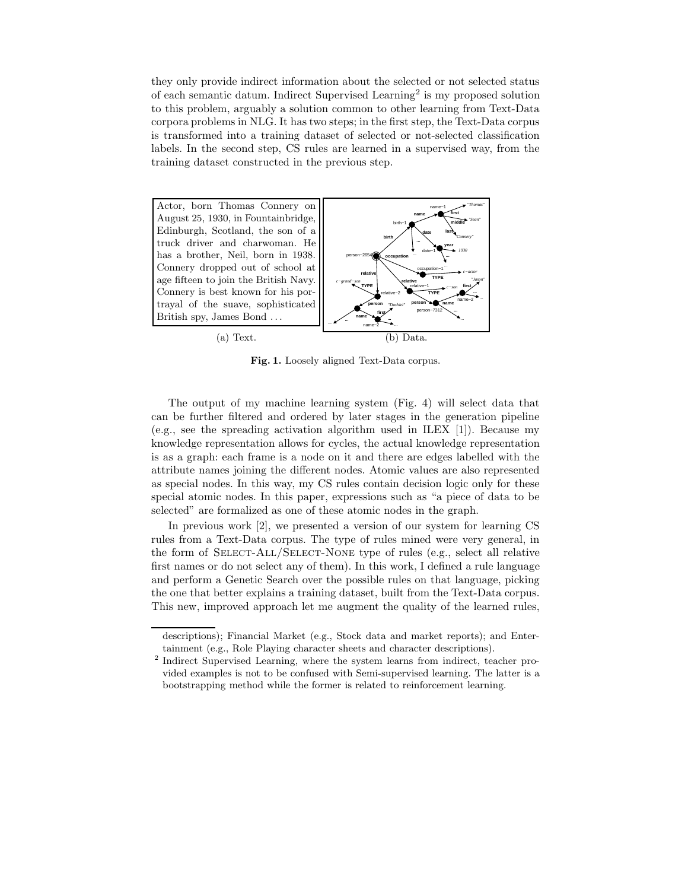they only provide indirect information about the selected or not selected status of each semantic datum. Indirect Supervised Learning<sup>2</sup> is my proposed solution to this problem, arguably a solution common to other learning from Text-Data corpora problems in NLG. It has two steps; in the first step, the Text-Data corpus is transformed into a training dataset of selected or not-selected classification labels. In the second step, CS rules are learned in a supervised way, from the training dataset constructed in the previous step.



Fig. 1. Loosely aligned Text-Data corpus.

The output of my machine learning system (Fig. 4) will select data that can be further filtered and ordered by later stages in the generation pipeline (e.g., see the spreading activation algorithm used in ILEX [1]). Because my knowledge representation allows for cycles, the actual knowledge representation is as a graph: each frame is a node on it and there are edges labelled with the attribute names joining the different nodes. Atomic values are also represented as special nodes. In this way, my CS rules contain decision logic only for these special atomic nodes. In this paper, expressions such as "a piece of data to be selected" are formalized as one of these atomic nodes in the graph.

In previous work [2], we presented a version of our system for learning CS rules from a Text-Data corpus. The type of rules mined were very general, in the form of SELECT-ALL/SELECT-NONE type of rules (e.g., select all relative first names or do not select any of them). In this work, I defined a rule language and perform a Genetic Search over the possible rules on that language, picking the one that better explains a training dataset, built from the Text-Data corpus. This new, improved approach let me augment the quality of the learned rules,

descriptions); Financial Market (e.g., Stock data and market reports); and Entertainment (e.g., Role Playing character sheets and character descriptions).

<sup>2</sup> Indirect Supervised Learning, where the system learns from indirect, teacher provided examples is not to be confused with Semi-supervised learning. The latter is a bootstrapping method while the former is related to reinforcement learning.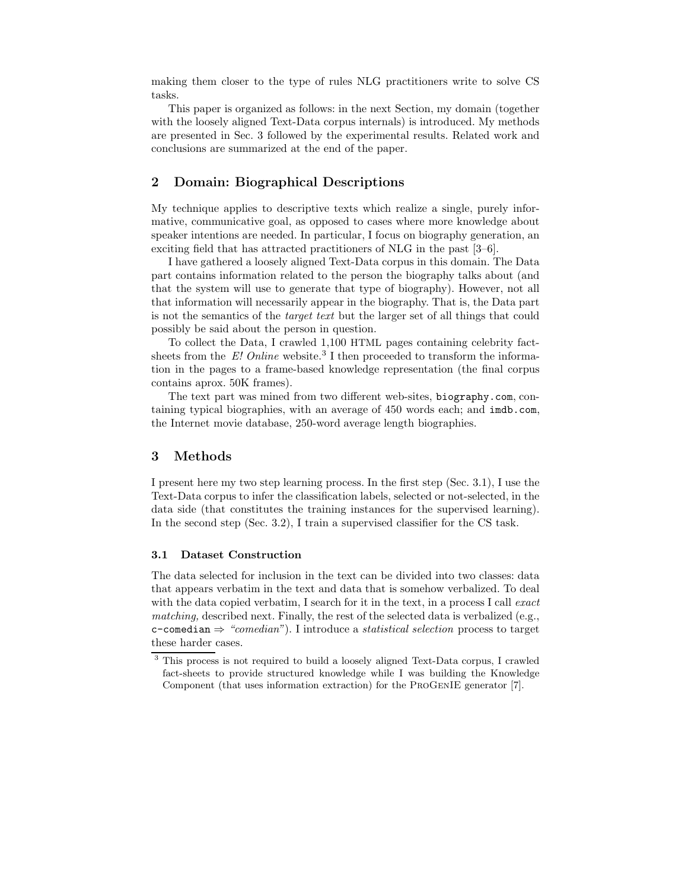making them closer to the type of rules NLG practitioners write to solve CS tasks.

This paper is organized as follows: in the next Section, my domain (together with the loosely aligned Text-Data corpus internals) is introduced. My methods are presented in Sec. 3 followed by the experimental results. Related work and conclusions are summarized at the end of the paper.

## 2 Domain: Biographical Descriptions

My technique applies to descriptive texts which realize a single, purely informative, communicative goal, as opposed to cases where more knowledge about speaker intentions are needed. In particular, I focus on biography generation, an exciting field that has attracted practitioners of NLG in the past [3–6].

I have gathered a loosely aligned Text-Data corpus in this domain. The Data part contains information related to the person the biography talks about (and that the system will use to generate that type of biography). However, not all that information will necessarily appear in the biography. That is, the Data part is not the semantics of the target text but the larger set of all things that could possibly be said about the person in question.

To collect the Data, I crawled 1,100 HTML pages containing celebrity factsheets from the  $E$ ! Online website.<sup>3</sup> I then proceeded to transform the information in the pages to a frame-based knowledge representation (the final corpus contains aprox. 50K frames).

The text part was mined from two different web-sites, biography.com, containing typical biographies, with an average of 450 words each; and imdb.com, the Internet movie database, 250-word average length biographies.

## 3 Methods

I present here my two step learning process. In the first step (Sec. 3.1), I use the Text-Data corpus to infer the classification labels, selected or not-selected, in the data side (that constitutes the training instances for the supervised learning). In the second step (Sec. 3.2), I train a supervised classifier for the CS task.

#### 3.1 Dataset Construction

The data selected for inclusion in the text can be divided into two classes: data that appears verbatim in the text and data that is somehow verbalized. To deal with the data copied verbatim, I search for it in the text, in a process I call exact matching, described next. Finally, the rest of the selected data is verbalized (e.g., c-comedian  $\Rightarrow$  "comedian"). I introduce a *statistical selection* process to target these harder cases.

<sup>3</sup> This process is not required to build a loosely aligned Text-Data corpus, I crawled fact-sheets to provide structured knowledge while I was building the Knowledge Component (that uses information extraction) for the ProGenIE generator [7].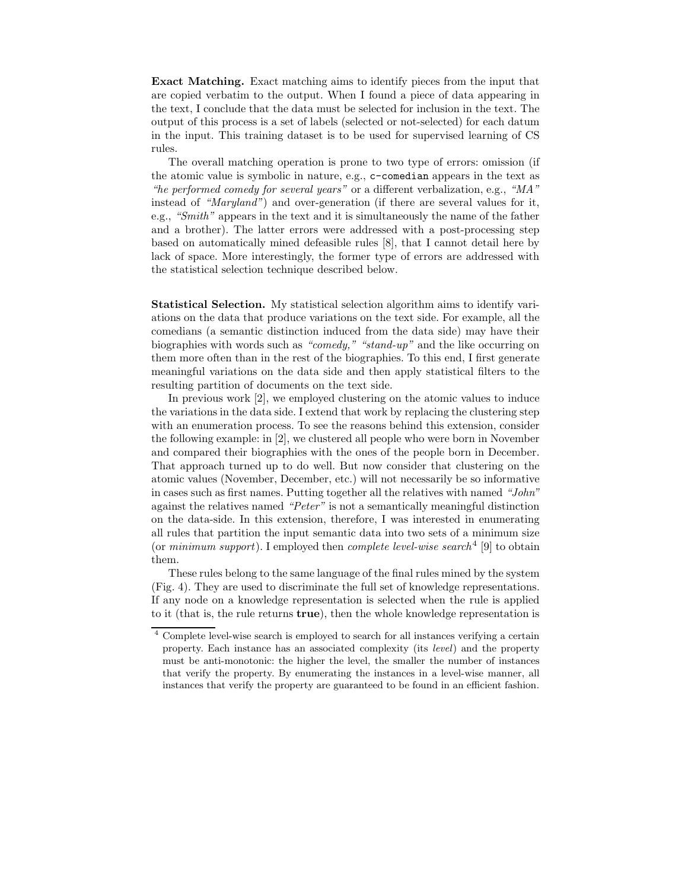Exact Matching. Exact matching aims to identify pieces from the input that are copied verbatim to the output. When I found a piece of data appearing in the text, I conclude that the data must be selected for inclusion in the text. The output of this process is a set of labels (selected or not-selected) for each datum in the input. This training dataset is to be used for supervised learning of CS rules.

The overall matching operation is prone to two type of errors: omission (if the atomic value is symbolic in nature, e.g., c-comedian appears in the text as "he performed comedy for several years" or a different verbalization, e.g., "MA" instead of "Maryland") and over-generation (if there are several values for it, e.g., "Smith" appears in the text and it is simultaneously the name of the father and a brother). The latter errors were addressed with a post-processing step based on automatically mined defeasible rules [8], that I cannot detail here by lack of space. More interestingly, the former type of errors are addressed with the statistical selection technique described below.

Statistical Selection. My statistical selection algorithm aims to identify variations on the data that produce variations on the text side. For example, all the comedians (a semantic distinction induced from the data side) may have their biographies with words such as "comedy," "stand-up" and the like occurring on them more often than in the rest of the biographies. To this end, I first generate meaningful variations on the data side and then apply statistical filters to the resulting partition of documents on the text side.

In previous work [2], we employed clustering on the atomic values to induce the variations in the data side. I extend that work by replacing the clustering step with an enumeration process. To see the reasons behind this extension, consider the following example: in [2], we clustered all people who were born in November and compared their biographies with the ones of the people born in December. That approach turned up to do well. But now consider that clustering on the atomic values (November, December, etc.) will not necessarily be so informative in cases such as first names. Putting together all the relatives with named "John" against the relatives named "Peter" is not a semantically meaningful distinction on the data-side. In this extension, therefore, I was interested in enumerating all rules that partition the input semantic data into two sets of a minimum size (or  $minimum$  support). I employed then *complete level-wise search*<sup>4</sup> [9] to obtain them.

These rules belong to the same language of the final rules mined by the system (Fig. 4). They are used to discriminate the full set of knowledge representations. If any node on a knowledge representation is selected when the rule is applied to it (that is, the rule returns true), then the whole knowledge representation is

<sup>4</sup> Complete level-wise search is employed to search for all instances verifying a certain property. Each instance has an associated complexity (its *level*) and the property must be anti-monotonic: the higher the level, the smaller the number of instances that verify the property. By enumerating the instances in a level-wise manner, all instances that verify the property are guaranteed to be found in an efficient fashion.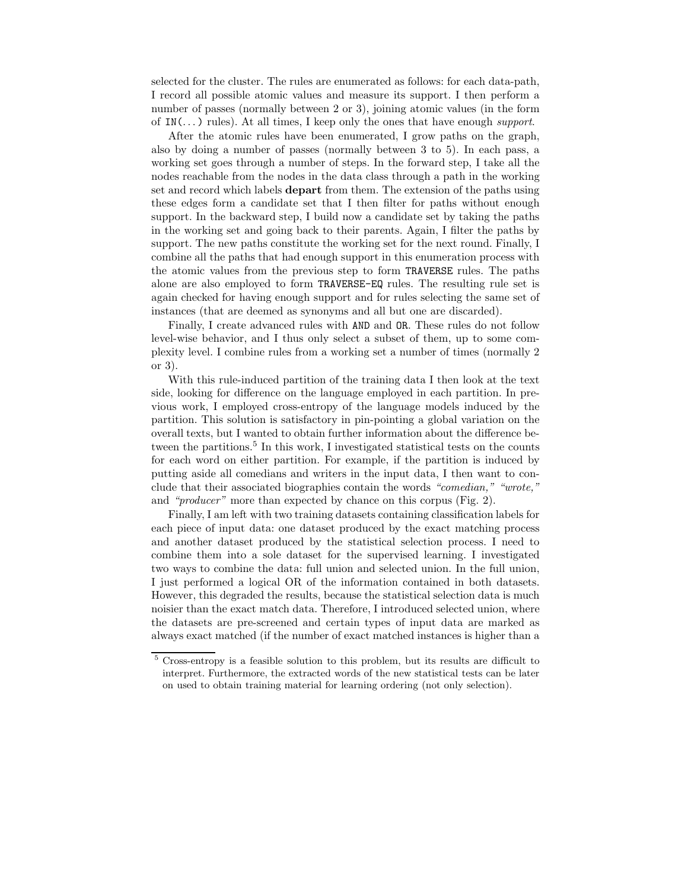selected for the cluster. The rules are enumerated as follows: for each data-path, I record all possible atomic values and measure its support. I then perform a number of passes (normally between 2 or 3), joining atomic values (in the form of  $IN(...)$  rules). At all times, I keep only the ones that have enough support.

After the atomic rules have been enumerated, I grow paths on the graph, also by doing a number of passes (normally between 3 to 5). In each pass, a working set goes through a number of steps. In the forward step, I take all the nodes reachable from the nodes in the data class through a path in the working set and record which labels depart from them. The extension of the paths using these edges form a candidate set that I then filter for paths without enough support. In the backward step, I build now a candidate set by taking the paths in the working set and going back to their parents. Again, I filter the paths by support. The new paths constitute the working set for the next round. Finally, I combine all the paths that had enough support in this enumeration process with the atomic values from the previous step to form TRAVERSE rules. The paths alone are also employed to form TRAVERSE-EQ rules. The resulting rule set is again checked for having enough support and for rules selecting the same set of instances (that are deemed as synonyms and all but one are discarded).

Finally, I create advanced rules with AND and OR. These rules do not follow level-wise behavior, and I thus only select a subset of them, up to some complexity level. I combine rules from a working set a number of times (normally 2 or 3).

With this rule-induced partition of the training data I then look at the text side, looking for difference on the language employed in each partition. In previous work, I employed cross-entropy of the language models induced by the partition. This solution is satisfactory in pin-pointing a global variation on the overall texts, but I wanted to obtain further information about the difference between the partitions.<sup>5</sup> In this work, I investigated statistical tests on the counts for each word on either partition. For example, if the partition is induced by putting aside all comedians and writers in the input data, I then want to conclude that their associated biographies contain the words "comedian," "wrote," and "producer" more than expected by chance on this corpus (Fig. 2).

Finally, I am left with two training datasets containing classification labels for each piece of input data: one dataset produced by the exact matching process and another dataset produced by the statistical selection process. I need to combine them into a sole dataset for the supervised learning. I investigated two ways to combine the data: full union and selected union. In the full union, I just performed a logical OR of the information contained in both datasets. However, this degraded the results, because the statistical selection data is much noisier than the exact match data. Therefore, I introduced selected union, where the datasets are pre-screened and certain types of input data are marked as always exact matched (if the number of exact matched instances is higher than a

<sup>5</sup> Cross-entropy is a feasible solution to this problem, but its results are difficult to interpret. Furthermore, the extracted words of the new statistical tests can be later on used to obtain training material for learning ordering (not only selection).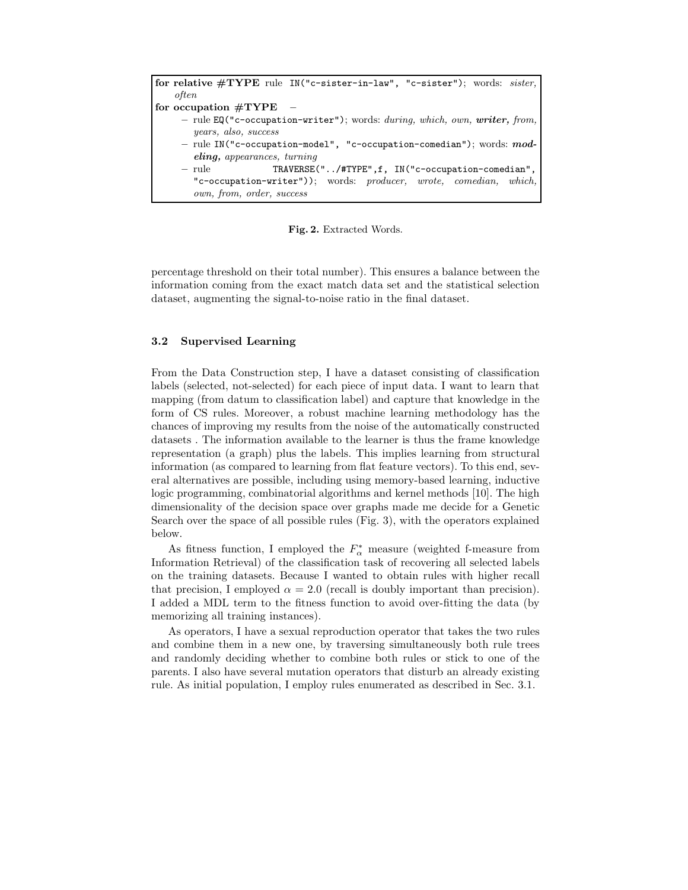for relative #TYPE rule IN("c-sister-in-law", "c-sister"); words: sister, often for occupation  $\#\mathrm{TYPE}$ – rule  $EQ("c-occupation-writer")$ ; words: during, which, own, writer, from, years, also, success – rule IN("c-occupation-model", "c-occupation-comedian"); words: modeling, appearances, turning – rule TRAVERSE("../#TYPE",f, IN("c-occupation-comedian", "c-occupation-writer")); words: producer, wrote, comedian, which, own, from, order, success

Fig. 2. Extracted Words.

percentage threshold on their total number). This ensures a balance between the information coming from the exact match data set and the statistical selection dataset, augmenting the signal-to-noise ratio in the final dataset.

#### 3.2 Supervised Learning

From the Data Construction step, I have a dataset consisting of classification labels (selected, not-selected) for each piece of input data. I want to learn that mapping (from datum to classification label) and capture that knowledge in the form of CS rules. Moreover, a robust machine learning methodology has the chances of improving my results from the noise of the automatically constructed datasets . The information available to the learner is thus the frame knowledge representation (a graph) plus the labels. This implies learning from structural information (as compared to learning from flat feature vectors). To this end, several alternatives are possible, including using memory-based learning, inductive logic programming, combinatorial algorithms and kernel methods [10]. The high dimensionality of the decision space over graphs made me decide for a Genetic Search over the space of all possible rules (Fig. 3), with the operators explained below.

As fitness function, I employed the  $F_{\alpha}^*$  measure (weighted f-measure from Information Retrieval) of the classification task of recovering all selected labels on the training datasets. Because I wanted to obtain rules with higher recall that precision, I employed  $\alpha = 2.0$  (recall is doubly important than precision). I added a MDL term to the fitness function to avoid over-fitting the data (by memorizing all training instances).

As operators, I have a sexual reproduction operator that takes the two rules and combine them in a new one, by traversing simultaneously both rule trees and randomly deciding whether to combine both rules or stick to one of the parents. I also have several mutation operators that disturb an already existing rule. As initial population, I employ rules enumerated as described in Sec. 3.1.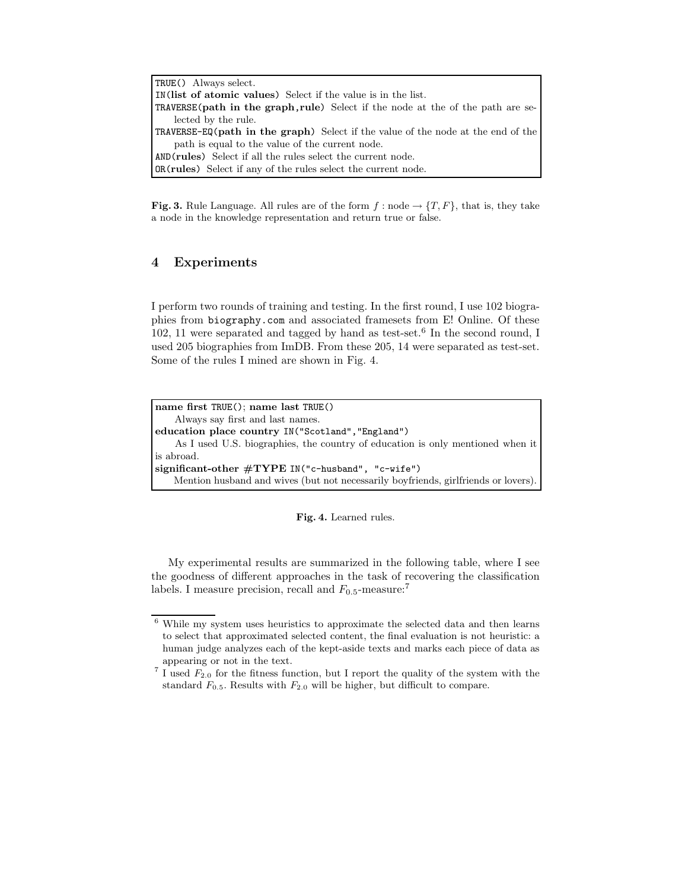```
TRUE() Always select.
IN(list of atomic values) Select if the value is in the list.
TRAVERSE(path in the graph,rule) Select if the node at the of the path are se-
    lected by the rule.
TRAVERSE-EQ(path in the graph) Select if the value of the node at the end of the
    path is equal to the value of the current node.
AND(rules) Select if all the rules select the current node.
OR(rules) Select if any of the rules select the current node.
```
**Fig. 3.** Rule Language. All rules are of the form  $f : node \rightarrow \{T, F\}$ , that is, they take a node in the knowledge representation and return true or false.

## 4 Experiments

I perform two rounds of training and testing. In the first round, I use 102 biographies from biography.com and associated framesets from E! Online. Of these  $102$ , 11 were separated and tagged by hand as test-set.<sup>6</sup> In the second round, I used 205 biographies from ImDB. From these 205, 14 were separated as test-set. Some of the rules I mined are shown in Fig. 4.

```
name first TRUE(); name last TRUE()
    Always say first and last names.
education place country IN("Scotland","England")
    As I used U.S. biographies, the country of education is only mentioned when it
is abroad.
significant-other #TYPE IN("c-husband", "c-wife")
    Mention husband and wives (but not necessarily boyfriends, girlfriends or lovers).
```
#### Fig. 4. Learned rules.

My experimental results are summarized in the following table, where I see the goodness of different approaches in the task of recovering the classification labels. I measure precision, recall and  $F_{0.5}$ -measure:<sup>7</sup>

<sup>6</sup> While my system uses heuristics to approximate the selected data and then learns to select that approximated selected content, the final evaluation is not heuristic: a human judge analyzes each of the kept-aside texts and marks each piece of data as appearing or not in the text.

<sup>&</sup>lt;sup>7</sup> I used  $F_{2,0}$  for the fitness function, but I report the quality of the system with the standard  $F_{0.5}$ . Results with  $F_{2.0}$  will be higher, but difficult to compare.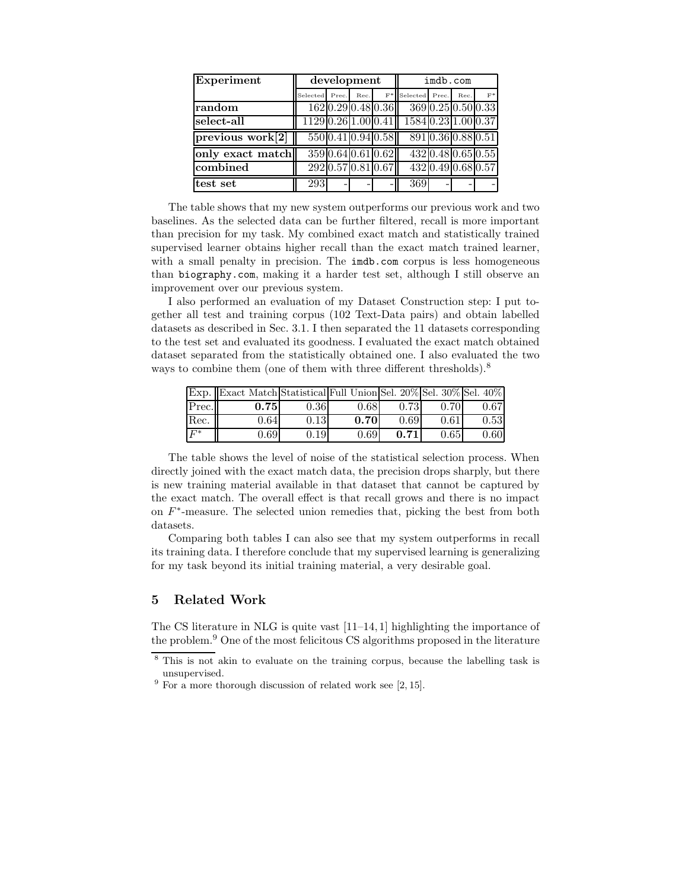| Experiment                           | development         |  |      |                    | imdb.com            |       |                    |       |  |
|--------------------------------------|---------------------|--|------|--------------------|---------------------|-------|--------------------|-------|--|
|                                      | Selected Prec.      |  | Rec. |                    | $F^*$ Selected      | Prec. | Rec.               | $F^*$ |  |
| random                               |                     |  |      | 162 0.29 0.48 0.36 |                     |       | 369 0.25 0.50 0.33 |       |  |
| select-all                           | 1129 0.26 1.00 0.41 |  |      |                    | 1584 0.23 1.00 0.37 |       |                    |       |  |
| $\overline{\text{previous work}}[2]$ |                     |  |      | 550 0.41 0.94 0.58 |                     |       | 891 0.36 0.88 0.51 |       |  |
| only exact match                     |                     |  |      | 359 0.64 0.61 0.62 |                     |       | 432 0.48 0.65 0.55 |       |  |
| combined                             |                     |  |      | 292 0.57 0.81 0.67 |                     |       | 432 0.49 0.68 0.57 |       |  |
| test set                             | 293                 |  |      |                    | 369                 |       |                    |       |  |

The table shows that my new system outperforms our previous work and two baselines. As the selected data can be further filtered, recall is more important than precision for my task. My combined exact match and statistically trained supervised learner obtains higher recall than the exact match trained learner, with a small penalty in precision. The **imdb**.com corpus is less homogeneous than biography.com, making it a harder test set, although I still observe an improvement over our previous system.

I also performed an evaluation of my Dataset Construction step: I put together all test and training corpus (102 Text-Data pairs) and obtain labelled datasets as described in Sec. 3.1. I then separated the 11 datasets corresponding to the test set and evaluated its goodness. I evaluated the exact match obtained dataset separated from the statistically obtained one. I also evaluated the two ways to combine them (one of them with three different thresholds).<sup>8</sup>

|       | Exp. Exact Match Statistical Full Union Sel. 20% Sel. 30% Sel. 40% |      |      |      |      |      |
|-------|--------------------------------------------------------------------|------|------|------|------|------|
| Prec. | 0.75                                                               | 0.36 | 0.68 | 0.73 | 0.70 | 0.67 |
| Rec.  | 0.64                                                               | 0.13 | 0.70 | 0.69 | 0.61 | 0.53 |
| $F^*$ | 0.69                                                               | 0.19 | 0.69 | 0.71 | 0.65 | 0.60 |

The table shows the level of noise of the statistical selection process. When directly joined with the exact match data, the precision drops sharply, but there is new training material available in that dataset that cannot be captured by the exact match. The overall effect is that recall grows and there is no impact on  $F^*$ -measure. The selected union remedies that, picking the best from both datasets.

Comparing both tables I can also see that my system outperforms in recall its training data. I therefore conclude that my supervised learning is generalizing for my task beyond its initial training material, a very desirable goal.

# 5 Related Work

The CS literature in NLG is quite vast [11–14, 1] highlighting the importance of the problem.<sup>9</sup> One of the most felicitous CS algorithms proposed in the literature

<sup>&</sup>lt;sup>8</sup> This is not akin to evaluate on the training corpus, because the labelling task is unsupervised.

 $9\,$  For a more thorough discussion of related work see [2, 15].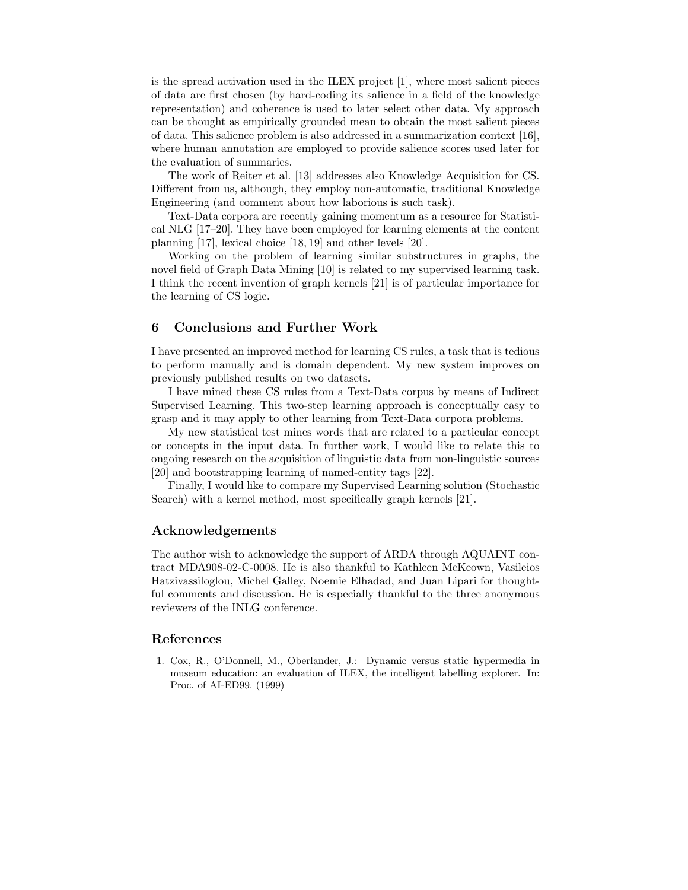is the spread activation used in the ILEX project [1], where most salient pieces of data are first chosen (by hard-coding its salience in a field of the knowledge representation) and coherence is used to later select other data. My approach can be thought as empirically grounded mean to obtain the most salient pieces of data. This salience problem is also addressed in a summarization context [16], where human annotation are employed to provide salience scores used later for the evaluation of summaries.

The work of Reiter et al. [13] addresses also Knowledge Acquisition for CS. Different from us, although, they employ non-automatic, traditional Knowledge Engineering (and comment about how laborious is such task).

Text-Data corpora are recently gaining momentum as a resource for Statistical NLG [17–20]. They have been employed for learning elements at the content planning [17], lexical choice [18, 19] and other levels [20].

Working on the problem of learning similar substructures in graphs, the novel field of Graph Data Mining [10] is related to my supervised learning task. I think the recent invention of graph kernels [21] is of particular importance for the learning of CS logic.

# 6 Conclusions and Further Work

I have presented an improved method for learning CS rules, a task that is tedious to perform manually and is domain dependent. My new system improves on previously published results on two datasets.

I have mined these CS rules from a Text-Data corpus by means of Indirect Supervised Learning. This two-step learning approach is conceptually easy to grasp and it may apply to other learning from Text-Data corpora problems.

My new statistical test mines words that are related to a particular concept or concepts in the input data. In further work, I would like to relate this to ongoing research on the acquisition of linguistic data from non-linguistic sources [20] and bootstrapping learning of named-entity tags [22].

Finally, I would like to compare my Supervised Learning solution (Stochastic Search) with a kernel method, most specifically graph kernels [21].

### Acknowledgements

The author wish to acknowledge the support of ARDA through AQUAINT contract MDA908-02-C-0008. He is also thankful to Kathleen McKeown, Vasileios Hatzivassiloglou, Michel Galley, Noemie Elhadad, and Juan Lipari for thoughtful comments and discussion. He is especially thankful to the three anonymous reviewers of the INLG conference.

#### References

1. Cox, R., O'Donnell, M., Oberlander, J.: Dynamic versus static hypermedia in museum education: an evaluation of ILEX, the intelligent labelling explorer. In: Proc. of AI-ED99. (1999)